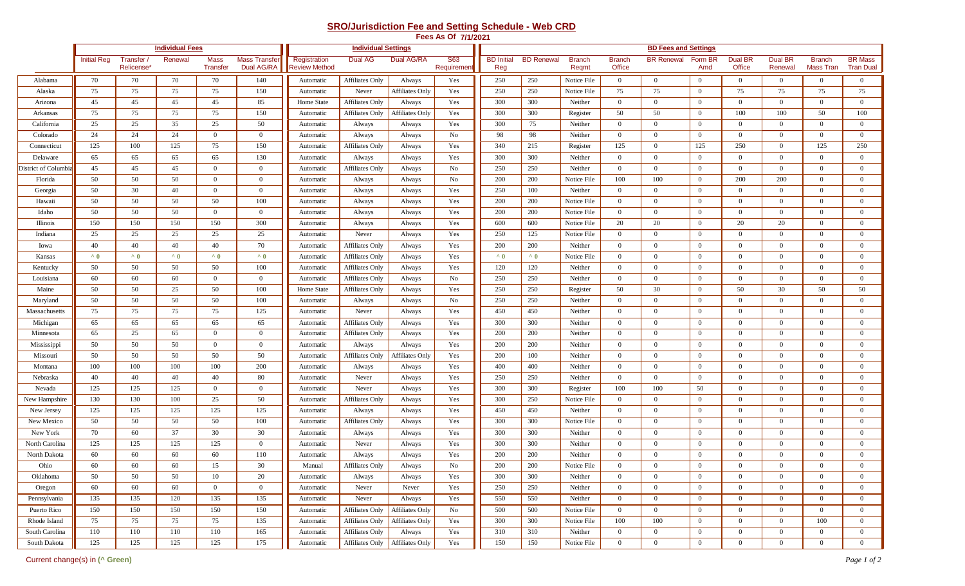## **SRO/Jurisdiction Fee and Setting Schedule - Web CRD**

|                      | Fees As Of 7/1/2021 |                                |                        |                         |                                    |                                      |                        |                                   |                          |                             |                   |                        |                         |                    |                |                   |                           |                            |                                    |
|----------------------|---------------------|--------------------------------|------------------------|-------------------------|------------------------------------|--------------------------------------|------------------------|-----------------------------------|--------------------------|-----------------------------|-------------------|------------------------|-------------------------|--------------------|----------------|-------------------|---------------------------|----------------------------|------------------------------------|
|                      |                     |                                | <b>Individual Fees</b> |                         |                                    | <b>Individual Settings</b>           |                        |                                   |                          | <b>BD Fees and Settings</b> |                   |                        |                         |                    |                |                   |                           |                            |                                    |
|                      | <b>Initial Reg</b>  | Transfer /<br><b>Relicense</b> | Renewal                | Mass<br><b>Transfer</b> | <b>Mass Transfer</b><br>Dual AG/RA | Registration<br><b>Review Method</b> | Dual AG                | Dual AG/RA                        | <b>S63</b><br>Requiremer | <b>BD</b> Initial<br>Reg    | <b>BD Renewal</b> | <b>Branch</b><br>Regmt | <b>Branch</b><br>Office | BR Renewal Form BR | Amd            | Dual BR<br>Office | <b>Dual BR</b><br>Renewal | <b>Branch</b><br>Mass Tran | <b>BR Mass</b><br><b>Tran Dual</b> |
| Alabama              | 70                  | 70                             | 70                     | 70                      | 140                                | Automatic                            | <b>Affiliates Only</b> | Always                            | Yes                      | 250                         | 250               | Notice File            | $\overline{0}$          | $\overline{0}$     | $\overline{0}$ | $\mathbf{0}$      | $\bf{0}$                  | $\mathbf{0}$               | $\overline{0}$                     |
| Alaska               | 75                  | 75                             | 75                     | 75                      | 150                                | Automatic                            | Never                  | <b>Affiliates Only</b>            | Yes                      | 250                         | 250               | Notice File            | 75                      | 75                 | $\mathbf{0}$   | 75                | 75                        | 75                         | 75                                 |
| Arizona              | 45                  | 45                             | 45                     | 45                      | 85                                 | Home State                           | <b>Affiliates Only</b> | Always                            | Yes                      | 300                         | 300               | Neither                | $\overline{0}$          | $\mathbf{0}$       | $\mathbf{0}$   | $\overline{0}$    | $\Omega$                  | $\overline{0}$             | $\overline{0}$                     |
| Arkansas             | 75                  | 75                             | 75                     | 75                      | 150                                | Automatic                            | Affiliates Only        | <b>Affiliates Only</b>            | Yes                      | 300                         | 300               | Register               | 50                      | 50                 | $\mathbf{0}$   | 100               | 100                       | 50                         | 100                                |
| California           | 25                  | 25                             | 35                     | 25                      | 50                                 | Automatic                            | Always                 | Always                            | Yes                      | 300                         | 75                | Neither                | $\overline{0}$          | $\mathbf{0}$       | $\mathbf{0}$   | $\overline{0}$    | $\overline{0}$            | $\mathbf{0}$               | $\overline{0}$                     |
| Colorado             | 24                  | 24                             | 24                     | $\overline{0}$          | $\overline{0}$                     | Automatic                            | Always                 | Always                            | No                       | 98                          | 98                | Neither                | $\overline{0}$          | $\mathbf{0}$       | $\mathbf{0}$   | $\overline{0}$    | $\overline{0}$            | $\overline{0}$             | $\overline{0}$                     |
| Connecticut          | 125                 | 100                            | 125                    | 75                      | 150                                | Automatic                            | <b>Affiliates Only</b> | Always                            | Yes                      | 340                         | 215               | Register               | 125                     | $\mathbf{0}$       | 125            | 250               | $\Omega$                  | 125                        | 250                                |
| Delaware             | 65                  | 65                             | 65                     | 65                      | 130                                | Automatic                            | Always                 | Always                            | Yes                      | 300                         | 300               | Neither                | $\overline{0}$          | $\mathbf{0}$       | $\mathbf{0}$   | $\overline{0}$    | $\Omega$                  | $\overline{0}$             | $\overline{0}$                     |
| District of Columbia | 45                  | 45                             | 45                     | $\overline{0}$          | $\overline{0}$                     | Automatic                            | <b>Affiliates Only</b> | Always                            | No                       | 250                         | 250               | Neither                | $\overline{0}$          | $\mathbf{0}$       | $\mathbf{0}$   | $\overline{0}$    | $\Omega$                  | $\mathbf{0}$               | $\overline{0}$                     |
| Florida              | 50                  | 50                             | 50                     | $\overline{0}$          | $\overline{0}$                     | Automatic                            | Always                 | Always                            | No                       | 200                         | 200               | Notice File            | 100                     | 100                | $\mathbf{0}$   | 200               | 200                       | $\mathbf{0}$               | $\mathbf{0}$                       |
| Georgia              | 50                  | 30                             | 40                     | $\mathbf{0}$            | $\overline{0}$                     | Automatic                            | Always                 | Always                            | Yes                      | 250                         | 100               | Neither                | $\overline{0}$          | $\mathbf{0}$       | $\mathbf{0}$   | $\overline{0}$    | $\Omega$                  | $\mathbf{0}$               | $\overline{0}$                     |
| Hawaii               | 50                  | 50                             | 50                     | 50                      | 100                                | Automatic                            | Always                 | Always                            | Yes                      | 200                         | 200               | Notice File            | $\overline{0}$          | $\mathbf{0}$       | $\mathbf{0}$   | $\overline{0}$    | $\overline{0}$            | $\overline{0}$             | $\overline{0}$                     |
| Idaho                | 50                  | 50                             | 50                     | $\overline{0}$          | $\overline{0}$                     | Automatic                            | Always                 | Always                            | Yes                      | 200                         | 200               | Notice File            | $\mathbf{0}$            | $\mathbf{0}$       | $\mathbf{0}$   | $\overline{0}$    | $\Omega$                  | $\mathbf{0}$               | $\overline{0}$                     |
| Illinois             | 150                 | 150                            | 150                    | 150                     | 300                                | Automatic                            | Always                 | Always                            | Yes                      | 600                         | 600               | Notice File            | 20                      | 20                 | $\mathbf{0}$   | 20                | 20                        | $\overline{0}$             | $\overline{0}$                     |
| Indiana              | 25                  | 25                             | 25                     | 25                      | 25                                 | Automatic                            | Never                  | Always                            | Yes                      | 250                         | 125               | Notice File            | $\overline{0}$          | $\overline{0}$     | $\mathbf{0}$   | $\overline{0}$    | $\Omega$                  | $\overline{0}$             | $\overline{0}$                     |
| Iowa                 | 40                  | 40                             | 40                     | 40                      | 70                                 | Automatic                            | <b>Affiliates Only</b> | Always                            | Yes                      | 200                         | 200               | Neither                | $\overline{0}$          | $\mathbf{0}$       | $\mathbf{0}$   | $\overline{0}$    | $\Omega$                  | $\mathbf{0}$               | $\overline{0}$                     |
| Kansas               | $^{\wedge}$ 0       | $^{\sim}$ 0                    | $\lambda$ 0            | $^{\wedge}0$            | $^{\wedge}0$                       | Automatic                            | <b>Affiliates Only</b> | Always                            | Yes                      | $\lambda$ 0                 | $\lambda$ 0       | Notice File            | $\overline{0}$          | $\overline{0}$     | $\mathbf{0}$   | $\overline{0}$    | $\overline{0}$            | $\mathbf{0}$               | $\mathbf{0}$                       |
| Kentucky             | 50                  | 50                             | 50                     | 50                      | 100                                | Automatic                            | <b>Affiliates Only</b> | Always                            | Yes                      | 120                         | 120               | Neither                | $\overline{0}$          | $\mathbf{0}$       | $\overline{0}$ | $\overline{0}$    | $\Omega$                  | $\overline{0}$             | $\overline{0}$                     |
| Louisiana            | 60                  | 60                             | 60                     | $\overline{0}$          | $\mathbf{0}$                       | Automatic                            | <b>Affiliates Only</b> | Always                            | No                       | 250                         | 250               | Neither                | $\overline{0}$          | $\overline{0}$     | $\overline{0}$ | $\overline{0}$    | $\Omega$                  | $\mathbf{0}$               | $\overline{0}$                     |
| Maine                | 50                  | 50                             | 25                     | 50                      | 100                                | Home State                           | <b>Affiliates Only</b> | Always                            | Yes                      | 250                         | 250               | Register               | 50                      | 30                 | $\mathbf{0}$   | 50                | 30                        | 50                         | 50                                 |
| Maryland             | 50                  | 50                             | 50                     | 50                      | 100                                | Automatic                            | Always                 | Always                            | No                       | 250                         | 250               | Neither                | $\Omega$                | $\mathbf{0}$       | $\mathbf{0}$   | $\overline{0}$    | $\Omega$                  | $\overline{0}$             | $\overline{0}$                     |
| Massachusetts        | 75                  | 75                             | 75                     | 75                      | 125                                | Automatic                            | Never                  | Always                            | Yes                      | 450                         | 450               | Neither                | $\overline{0}$          | $\mathbf{0}$       | $\bf{0}$       | $\mathbf{0}$      | $\Omega$                  | $\mathbf{0}$               | $\mathbf{0}$                       |
| Michigan             | 65                  | 65                             | 65                     | 65                      | 65                                 | Automatic                            | <b>Affiliates Only</b> | Always                            | Yes                      | 300                         | 300               | Neither                | $\overline{0}$          | $\overline{0}$     | $\mathbf{0}$   | $\overline{0}$    | $\Omega$                  | $\mathbf{0}$               | $\overline{0}$                     |
| Minnesota            | 65                  | 25                             | 65                     | $\overline{0}$          | $\overline{0}$                     | Automatic                            | <b>Affiliates Only</b> | Always                            | Yes                      | 200                         | 200               | Neither                | $\overline{0}$          | $\overline{0}$     | $\mathbf{0}$   | $\overline{0}$    | $\Omega$                  | $\overline{0}$             | $\overline{0}$                     |
| Mississippi          | 50                  | 50                             | 50                     | $\mathbf{0}$            | $\overline{0}$                     | Automatic                            | Always                 | Always                            | Yes                      | 200                         | 200               | Neither                | $\overline{0}$          | $\overline{0}$     | $\mathbf{0}$   | $\overline{0}$    | $\Omega$                  | $\mathbf{0}$               | $\overline{0}$                     |
| Missouri             | 50                  | 50                             | 50                     | 50                      | 50                                 | Automatic                            | <b>Affiliates Only</b> | <b>Affiliates Only</b>            | Yes                      | 200                         | 100               | Neither                | $\overline{0}$          | $\overline{0}$     | $\mathbf{0}$   | $\overline{0}$    | $\Omega$                  | $\Omega$                   | $\mathbf{0}$                       |
| Montana              | 100                 | 100                            | 100                    | 100                     | 200                                | Automatic                            | Always                 | Always                            | Yes                      | 400                         | 400               | Neither                | $\Omega$                | $\mathbf{0}$       | $\mathbf{0}$   | $\overline{0}$    | $\Omega$                  | $\overline{0}$             | $\overline{0}$                     |
| Nebraska             | 40                  | 40                             | 40                     | 40                      | 80                                 | Automatic                            | Never                  | Always                            | Yes                      | 250                         | 250               | Neither                | $\overline{0}$          | $\mathbf{0}$       | $\mathbf{0}$   | $\mathbf{0}$      | $\Omega$                  | $\mathbf{0}$               | $\overline{0}$                     |
| Nevada               | 125                 | 125                            | 125                    | $\mathbf{0}$            | $\mathbf{0}$                       | Automatic                            | Never                  | Always                            | Yes                      | 300                         | 300               | Register               | 100                     | 100                | 50             | $\overline{0}$    | $\overline{0}$            | $\mathbf{0}$               | $\overline{0}$                     |
| New Hampshire        | 130                 | 130                            | 100                    | 25                      | 50                                 | Automatic                            | <b>Affiliates Only</b> | Always                            | Yes                      | 300                         | 250               | Notice File            | $\overline{0}$          | $\mathbf{0}$       | $\overline{0}$ | $\overline{0}$    | $\Omega$                  | $\overline{0}$             | $\overline{0}$                     |
| New Jersey           | 125                 | 125                            | 125                    | 125                     | 125                                | Automatic                            | Always                 | Always                            | Yes                      | 450                         | 450               | Neither                | $\overline{0}$          | $\mathbf{0}$       | $\overline{0}$ | $\overline{0}$    | $\Omega$                  | $\mathbf{0}$               | $\overline{0}$                     |
| New Mexico           | 50                  | 50                             | 50                     | 50                      | 100                                | Automatic                            | <b>Affiliates Only</b> | Always                            | Yes                      | 300                         | 300               | Notice File            | $\mathbf{0}$            | $\mathbf{0}$       | $\mathbf{0}$   | $\mathbf{0}$      | $\Omega$                  | $\mathbf{0}$               | $\mathbf{0}$                       |
| New York             | 70                  | 60                             | 37                     | 30                      | 30                                 | Automatic                            | Always                 | Always                            | Yes                      | 300                         | 300               | Neither                | $\Omega$                | $\mathbf{0}$       | $\mathbf{0}$   | $\overline{0}$    | $\Omega$                  | $\overline{0}$             | $\overline{0}$                     |
| North Carolina       | 125                 | 125                            | 125                    | 125                     | $\mathbf{0}$                       | Automatic                            | Never                  | Always                            | Yes                      | 300                         | 300               | Neither                | $\overline{0}$          | $\mathbf{0}$       | $\bf{0}$       | $\mathbf{0}$      | $\Omega$                  | $\mathbf{0}$               | $\bf{0}$                           |
| North Dakota         | 60                  | 60                             | 60                     | 60                      | 110                                | Automatic                            | Always                 | Always                            | Yes                      | 200                         | 200               | Neither                | $\overline{0}$          | $\mathbf{0}$       | $\theta$       | $\Omega$          | $\Omega$                  | $\Omega$                   | $\overline{0}$                     |
| Ohio                 | 60                  | 60                             | 60                     | 15                      | 30                                 | Manual                               | <b>Affiliates Only</b> | Always                            | No                       | 200                         | 200               | Notice File            | $\mathbf{0}$            | $\mathbf{0}$       | $\mathbf{0}$   | $\theta$          |                           | $\mathbf{0}$               | $\theta$                           |
| Oklahoma             | 50                  | 50                             | 50                     | 10                      | 20                                 | Automatic                            | Always                 | Always                            | Yes                      | 300                         | 300               | Neither                | $\overline{0}$          | $\mathbf{0}$       | $\overline{0}$ | $\overline{0}$    | $\overline{0}$            | $\overline{0}$             | $\overline{0}$                     |
| Oregon               | 60                  | 60                             | 60                     | $\overline{0}$          | $\overline{0}$                     | Automatic                            | Never                  | Never                             | Yes                      | 250                         | 250               | Neither                | $\overline{0}$          | $\overline{0}$     | $\overline{0}$ | $\overline{0}$    | $\overline{0}$            | $\overline{0}$             | $\mathbf{0}$                       |
| Pennsylvania         | 135                 | 135                            | 120                    | 135                     | 135                                | Automatic                            | Never                  | Always                            | Yes                      | 550                         | 550               | Neither                | $\overline{0}$          | $\overline{0}$     | $\overline{0}$ | $\overline{0}$    | $\overline{0}$            | $\mathbf{0}$               | $\overline{0}$                     |
| Puerto Rico          | 150                 | 150                            | 150                    | 150                     | 150                                | Automatic                            |                        | Affiliates Only   Affiliates Only | No                       | 500                         | 500               | Notice File            | $\mathbf{0}$            | $\overline{0}$     | $\overline{0}$ | $\overline{0}$    | $\overline{0}$            | $\overline{0}$             | $\overline{0}$                     |
| Rhode Island         | 75                  | 75                             | 75                     | 75                      | 135                                | Automatic                            |                        | Affiliates Only   Affiliates Only | Yes                      | 300                         | 300               | Notice File            | 100                     | 100                | $\mathbf{0}$   | $\overline{0}$    | $\overline{0}$            | 100                        | $\overline{0}$                     |
| South Carolina       | 110                 | 110                            | 110                    | 110                     | 165                                | Automatic                            | Affiliates Only        | Always                            | Yes                      | 310                         | 310               | Neither                | $\mathbf{0}$            | $\overline{0}$     | $\overline{0}$ | $\overline{0}$    | $\overline{0}$            | $\overline{0}$             | $\overline{0}$                     |
| South Dakota         | 125                 | 125                            | 125                    | 125                     | 175                                | Automatic                            |                        | Affiliates Only   Affiliates Only | Yes                      | 150                         | 150               | Notice File            | $\overline{0}$          | $\overline{0}$     | $\mathbf{0}$   | $\overline{0}$    | $\overline{0}$            | $\overline{0}$             | $\overline{0}$                     |